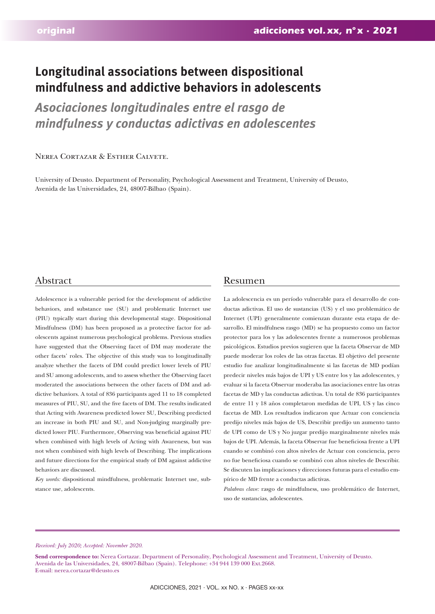# **Longitudinal associations between dispositional mindfulness and addictive behaviors in adolescents**

*Asociaciones longitudinales entre el rasgo de mindfulness y conductas adictivas en adolescentes*

# Nerea Cortazar & Esther Calvete.

University of Deusto. Department of Personality, Psychological Assessment and Treatment, University of Deusto, Avenida de las Universidades, 24, 48007-Bilbao (Spain).

# Abstract Resumen

Adolescence is a vulnerable period for the development of addictive behaviors, and substance use (SU) and problematic Internet use (PIU) typically start during this developmental stage. Dispositional Mindfulness (DM) has been proposed as a protective factor for adolescents against numerous psychological problems. Previous studies have suggested that the Observing facet of DM may moderate the other facets' roles. The objective of this study was to longitudinally analyze whether the facets of DM could predict lower levels of PIU and SU among adolescents, and to assess whether the Observing facet moderated the associations between the other facets of DM and addictive behaviors. A total of 836 participants aged 11 to 18 completed measures of PIU, SU, and the five facets of DM. The results indicated that Acting with Awareness predicted lower SU, Describing predicted an increase in both PIU and SU, and Non-judging marginally predicted lower PIU. Furthermore, Observing was beneficial against PIU when combined with high levels of Acting with Awareness, but was not when combined with high levels of Describing. The implications and future directions for the empirical study of DM against addictive behaviors are discussed.

*Key words:* dispositional mindfulness, problematic Internet use, substance use, adolescents.

La adolescencia es un período vulnerable para el desarrollo de conductas adictivas. El uso de sustancias (US) y el uso problemático de Internet (UPI) generalmente comienzan durante esta etapa de desarrollo. El mindfulness rasgo (MD) se ha propuesto como un factor protector para los y las adolescentes frente a numerosos problemas psicológicos. Estudios previos sugieren que la faceta Observar de MD puede moderar los roles de las otras facetas. El objetivo del presente estudio fue analizar longitudinalmente si las facetas de MD podían predecir niveles más bajos de UPI y US entre los y las adolescentes, y evaluar si la faceta Observar moderaba las asociaciones entre las otras facetas de MD y las conductas adictivas. Un total de 836 participantes de entre 11 y 18 años completaron medidas de UPI, US y las cinco facetas de MD. Los resultados indicaron que Actuar con conciencia predijo niveles más bajos de US, Describir predijo un aumento tanto de UPI como de US y No juzgar predijo marginalmente niveles más bajos de UPI. Además, la faceta Observar fue beneficiosa frente a UPI cuando se combinó con altos niveles de Actuar con conciencia, pero no fue beneficiosa cuando se combinó con altos niveles de Describir. Se discuten las implicaciones y direcciones futuras para el estudio empírico de MD frente a conductas adictivas.

*Palabras clave:* rasgo de mindfulness, uso problemático de Internet, uso de sustancias, adolescentes.

#### *Received: July 2020; Accepted: November 2020.*

Send correspondence to: Nerea Cortazar. Department of Personality, Psychological Assessment and Treatment, University of Deusto. Avenida de las Universidades, 24, 48007-Bilbao (Spain). Telephone: +34 944 139 000 Ext.2668. E-mail: nerea.cortazar@deusto.es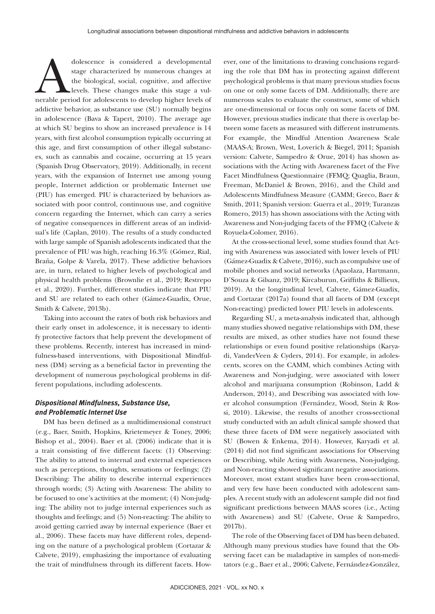dolescence is considered a developmental<br>
stage characterized by numerous changes at<br>
the biological, social, cognitive, and affective<br>
levels. These changes make this stage a vul-<br>
nerable period for adolescents to develo stage characterized by numerous changes at the biological, social, cognitive, and affective levels. These changes make this stage a vuladdictive behavior, as substance use (SU) normally begins in adolescence (Bava & Tapert, 2010). The average age at which SU begins to show an increased prevalence is 14 years, with first alcohol consumption typically occurring at this age, and first consumption of other illegal substances, such as cannabis and cocaine, occurring at 15 years (Spanish Drug Observatory, 2019). Additionally, in recent years, with the expansion of Internet use among young people, Internet addiction or problematic Internet use (PIU) has emerged. PIU is characterized by behaviors associated with poor control, continuous use, and cognitive concern regarding the Internet, which can carry a series of negative consequences in different areas of an individual's life (Caplan, 2010). The results of a study conducted with large sample of Spanish adolescents indicated that the prevalence of PIU was high, reaching 16.3% (Gómez, Rial, Braña, Golpe & Varela, 2017). These addictive behaviors are, in turn, related to higher levels of psychological and physical health problems (Brownlie et al., 2019; Restrepo et al., 2020). Further, different studies indicate that PIU and SU are related to each other (Gámez-Guadix, Orue, Smith & Calvete, 2013b).

Taking into account the rates of both risk behaviors and their early onset in adolescence, it is necessary to identify protective factors that help prevent the development of these problems. Recently, interest has increased in mindfulness-based interventions, with Dispositional Mindfulness (DM) serving as a beneficial factor in preventing the development of numerous psychological problems in different populations, including adolescents.

# *Dispositional Mindfulness, Substance Use, and Problematic Internet Use*

DM has been defined as a multidimensional construct (e.g., Baer, Smith, Hopkins, Krietemeyer & Toney, 2006; Bishop et al., 2004). Baer et al. (2006) indicate that it is a trait consisting of five different facets: (1) Observing: The ability to attend to internal and external experiences such as perceptions, thoughts, sensations or feelings; (2) Describing: The ability to describe internal experiences through words; (3) Acting with Awareness: The ability to be focused to one's activities at the moment; (4) Non-judging: The ability not to judge internal experiences such as thoughts and feelings; and (5) Non-reacting: The ability to avoid getting carried away by internal experience (Baer et al., 2006). These facets may have different roles, depending on the nature of a psychological problem (Cortazar & Calvete, 2019), emphasizing the importance of evaluating the trait of mindfulness through its different facets. However, one of the limitations to drawing conclusions regarding the role that DM has in protecting against different psychological problems is that many previous studies focus on one or only some facets of DM. Additionally, there are numerous scales to evaluate the construct, some of which are one-dimensional or focus only on some facets of DM. However, previous studies indicate that there is overlap between some facets as measured with different instruments. For example, the Mindful Attention Awareness Scale (MAAS-A; Brown, West, Loverich & Biegel, 2011; Spanish version: Calvete, Sampedro & Orue, 2014) has shown associations with the Acting with Awareness facet of the Five Facet Mindfulness Questionnaire (FFMQ; Quaglia, Braun, Freeman, McDaniel & Brown, 2016), and the Child and Adolescents Mindfulness Measure (CAMM; Greco, Baer & Smith, 2011; Spanish version: Guerra et al., 2019; Turanzas Romero, 2013) has shown associations with the Acting with Awareness and Non-judging facets of the FFMQ (Calvete & Royuela-Colomer, 2016).

At the cross-sectional level, some studies found that Acting with Awareness was associated with lower levels of PIU (Gámez-Guadix & Calvete, 2016), such as compulsive use of mobile phones and social networks (Apaolaza, Hartmann, D'Souza & Gilsanz, 2019; Kircaburun, Griffiths & Billieux, 2019). At the longitudinal level, Calvete, Gámez-Guadix, and Cortazar (2017a) found that all facets of DM (except Non-reacting) predicted lower PIU levels in adolescents.

Regarding SU, a meta-analysis indicated that, although many studies showed negative relationships with DM, these results are mixed, as other studies have not found these relationships or even found positive relationships (Karyadi, VanderVeen & Cyders, 2014). For example, in adolescents, scores on the CAMM, which combines Acting with Awareness and Non-judging, were associated with lower alcohol and marijuana consumption (Robinson, Ladd & Anderson, 2014), and Describing was associated with lower alcohol consumption (Fernández, Wood, Stein & Rossi, 2010). Likewise, the results of another cross-sectional study conducted with an adult clinical sample showed that these three facets of DM were negatively associated with SU (Bowen & Enkema, 2014). However, Karyadi et al. (2014) did not find significant associations for Observing or Describing, while Acting with Awareness, Non-judging, and Non-reacting showed significant negative associations. Moreover, most extant studies have been cross-sectional, and very few have been conducted with adolescent samples. A recent study with an adolescent sample did not find significant predictions between MAAS scores (i.e., Acting with Awareness) and SU (Calvete, Orue & Sampedro, 2017b).

The role of the Observing facet of DM has been debated. Although many previous studies have found that the Observing facet can be maladaptive in samples of non-meditators (e.g., Baer et al., 2006; Calvete, Fernández-González,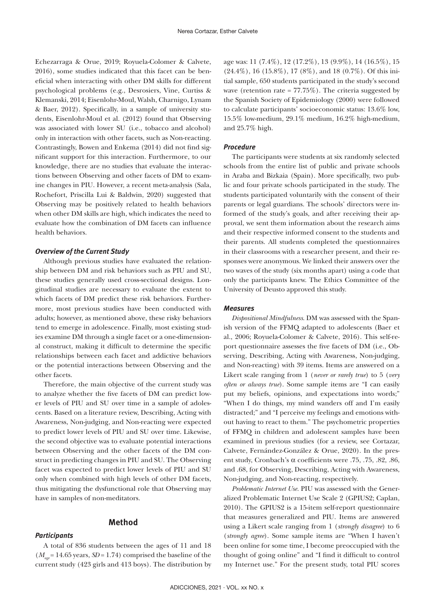Echezarraga & Orue, 2019; Royuela-Colomer & Calvete, 2016), some studies indicated that this facet can be beneficial when interacting with other DM skills for different psychological problems (e.g., Desrosiers, Vine, Curtiss & Klemanski, 2014; Eisenlohr-Moul, Walsh, Charnigo, Lynam & Baer, 2012). Specifically, in a sample of university students, Eisenlohr-Moul et al. (2012) found that Observing was associated with lower SU (i.e., tobacco and alcohol) only in interaction with other facets, such as Non-reacting. Contrastingly, Bowen and Enkema (2014) did not find significant support for this interaction. Furthermore, to our knowledge, there are no studies that evaluate the interactions between Observing and other facets of DM to examine changes in PIU. However, a recent meta-analysis (Sala, Rochefort, Priscilla Lui & Baldwin, 2020) suggested that Observing may be positively related to health behaviors when other DM skills are high, which indicates the need to evaluate how the combination of DM facets can influence health behaviors.

#### *Overview of the Current Study*

Although previous studies have evaluated the relationship between DM and risk behaviors such as PIU and SU, these studies generally used cross-sectional designs. Longitudinal studies are necessary to evaluate the extent to which facets of DM predict these risk behaviors. Furthermore, most previous studies have been conducted with adults; however, as mentioned above, these risky behaviors tend to emerge in adolescence. Finally, most existing studies examine DM through a single facet or a one-dimensional construct, making it difficult to determine the specific relationships between each facet and addictive behaviors or the potential interactions between Observing and the other facets.

Therefore, the main objective of the current study was to analyze whether the five facets of DM can predict lower levels of PIU and SU over time in a sample of adolescents. Based on a literature review, Describing, Acting with Awareness, Non-judging, and Non-reacting were expected to predict lower levels of PIU and SU over time. Likewise, the second objective was to evaluate potential interactions between Observing and the other facets of the DM construct in predicting changes in PIU and SU. The Observing facet was expected to predict lower levels of PIU and SU only when combined with high levels of other DM facets, thus mitigating the dysfunctional role that Observing may have in samples of non-meditators.

#### **Method**

#### *Participants*

A total of 836 students between the ages of 11 and 18  $(M_{\text{max}} = 14.65 \text{ years}, SD = 1.74)$  comprised the baseline of the current study (423 girls and 413 boys). The distribution by age was: 11 (7.4%), 12 (17.2%), 13 (9.9%), 14 (16.5%), 15 (24.4%), 16 (15.8%), 17 (8%), and 18 (0.7%). Of this initial sample, 650 students participated in the study's second wave (retention rate =  $77.75\%$ ). The criteria suggested by the Spanish Society of Epidemiology (2000) were followed to calculate participants' socioeconomic status: 13.6% low, 15.5% low-medium, 29.1% medium, 16.2% high-medium, and 25.7% high.

#### *Procedure*

The participants were students at six randomly selected schools from the entire list of public and private schools in Araba and Bizkaia (Spain). More specifically, two public and four private schools participated in the study. The students participated voluntarily with the consent of their parents or legal guardians. The schools' directors were informed of the study's goals, and after receiving their approval, we sent them information about the research aims and their respective informed consent to the students and their parents. All students completed the questionnaires in their classrooms with a researcher present, and their responses were anonymous. We linked their answers over the two waves of the study (six months apart) using a code that only the participants knew. The Ethics Committee of the University of Deusto approved this study.

#### *Measures*

*Dispositional Mindfulness*. DM was assessed with the Spanish version of the FFMQ adapted to adolescents (Baer et al., 2006; Royuela-Colomer & Calvete, 2016). This self-report questionnaire assesses the five facets of DM (i.e., Observing, Describing, Acting with Awareness, Non-judging, and Non-reacting) with 39 items. Items are answered on a Likert scale ranging from 1 (*never or rarely true*) to 5 (*very often or always true*). Some sample items are "I can easily put my beliefs, opinions, and expectations into words;" "When I do things, my mind wanders off and I'm easily distracted;" and "I perceive my feelings and emotions without having to react to them." The psychometric properties of FFMQ in children and adolescent samples have been examined in previous studies (for a review, see Cortazar, Calvete, Fernández-González & Orue, 2020). In the present study, Cronbach's α coefficients were .75, .75, .82, .86, and .68, for Observing, Describing, Acting with Awareness, Non-judging, and Non-reacting, respectively.

*Problematic Internet Use.* PIU was assessed with the Generalized Problematic Internet Use Scale 2 (GPIUS2; Caplan, 2010). The GPIUS2 is a 15-item self-report questionnaire that measures generalized and PIU. Items are answered using a Likert scale ranging from 1 (*strongly disagree*) to 6 (*strongly agree*). Some sample items are "When I haven't been online for some time, I become preoccupied with the thought of going online" and "I find it difficult to control my Internet use." For the present study, total PIU scores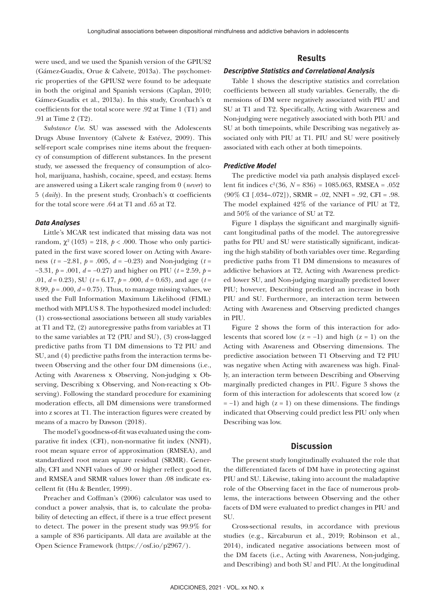were used, and we used the Spanish version of the GPIUS2 (Gámez-Guadix, Orue & Calvete, 2013a). The psychometric properties of the GPIUS2 were found to be adequate in both the original and Spanish versions (Caplan, 2010; Gámez-Guadix et al., 2013a). In this study, Cronbach's α coefficients for the total score were .92 at Time 1 (T1) and .91 at Time 2 (T2).

*Substance Use*. SU was assessed with the Adolescents Drugs Abuse Inventory (Calvete & Estévez, 2009). This self-report scale comprises nine items about the frequency of consumption of different substances. In the present study, we assessed the frequency of consumption of alcohol, marijuana, hashish, cocaine, speed, and ecstasy. Items are answered using a Likert scale ranging from 0 (*never*) to 5 (*daily*). In the present study, Cronbach's α coefficients for the total score were .64 at T1 and .65 at T2.

#### *Data Analyses*

Little's MCAR test indicated that missing data was not random,  $\chi^2$  (103) = 218,  $p < .000$ . Those who only participated in the first wave scored lower on Acting with Awareness (*t* = −2.81, *p* = .005, *d* = −0.23) and Non-judging (*t* = −3.31, *p* = .001, *d* = −0.27) and higher on PIU (*t* = 2.59, *p* = .01, *d* = 0.23), SU (*t* = 6.17, *p* = .000, *d* = 0.63), and age (*t* = 8.99,  $p = .000$ ,  $d = 0.75$ ). Thus, to manage missing values, we used the Full Information Maximum Likelihood (FIML) method with MPLUS 8. The hypothesized model included: (1) cross-sectional associations between all study variables at T1 and T2, (2) autoregressive paths from variables at T1 to the same variables at T2 (PIU and SU), (3) cross-lagged predictive paths from T1 DM dimensions to T2 PIU and SU, and (4) predictive paths from the interaction terms between Observing and the other four DM dimensions (i.e., Acting with Awareness x Observing, Non-judging x Observing, Describing x Observing, and Non-reacting x Observing). Following the standard procedure for examining moderation effects, all DM dimensions were transformed into z scores at T1. The interaction figures were created by means of a macro by Dawson (2018).

The model's goodness-of-fit was evaluated using the comparative fit index (CFI), non-normative fit index (NNFI), root mean square error of approximation (RMSEA), and standardized root mean square residual (SRMR). Generally, CFI and NNFI values of .90 or higher reflect good fit, and RMSEA and SRMR values lower than .08 indicate excellent fit (Hu & Bentler, 1999).

Preacher and Coffman's (2006) calculator was used to conduct a power analysis, that is, to calculate the probability of detecting an effect, if there is a true effect present to detect. The power in the present study was 99.9% for a sample of 836 participants. All data are available at the Open Science Framework (https://osf.io/p2967/).

# **Results**

#### *Descriptive Statistics and Correlational Analysis*

Table 1 shows the descriptive statistics and correlation coefficients between all study variables. Generally, the dimensions of DM were negatively associated with PIU and SU at T1 and T2. Specifically, Acting with Awareness and Non-judging were negatively associated with both PIU and SU at both timepoints, while Describing was negatively associated only with PIU at T1. PIU and SU were positively associated with each other at both timepoints.

#### *Predictive Model*

The predictive model via path analysis displayed excellent fit indices  $c^2(36, N = 836) = 1085.063$ , RMSEA = .052  $(90\% \text{ CI } [.034-.072])$ , SRMR = .02, NNFI = .92, CFI = .98. The model explained 42% of the variance of PIU at T2, and 50% of the variance of SU at T2.

Figure 1 displays the significant and marginally significant longitudinal paths of the model. The autoregressive paths for PIU and SU were statistically significant, indicating the high stability of both variables over time. Regarding predictive paths from T1 DM dimensions to measures of addictive behaviors at T2, Acting with Awareness predicted lower SU, and Non-judging marginally predicted lower PIU; however, Describing predicted an increase in both PIU and SU. Furthermore, an interaction term between Acting with Awareness and Observing predicted changes in PIU.

Figure 2 shows the form of this interaction for adolescents that scored low  $(z = -1)$  and high  $(z = 1)$  on the Acting with Awareness and Observing dimensions. The predictive association between T1 Observing and T2 PIU was negative when Acting with awareness was high. Finally, an interaction term between Describing and Observing marginally predicted changes in PIU. Figure 3 shows the form of this interaction for adolescents that scored low (z  $= -1$ ) and high (z = 1) on these dimensions. The findings indicated that Observing could predict less PIU only when Describing was low.

# **Discussion**

The present study longitudinally evaluated the role that the differentiated facets of DM have in protecting against PIU and SU. Likewise, taking into account the maladaptive role of the Observing facet in the face of numerous problems, the interactions between Observing and the other facets of DM were evaluated to predict changes in PIU and SU.

Cross-sectional results, in accordance with previous studies (e.g., Kircaburun et al., 2019; Robinson et al., 2014), indicated negative associations between most of the DM facets (i.e., Acting with Awareness, Non-judging, and Describing) and both SU and PIU. At the longitudinal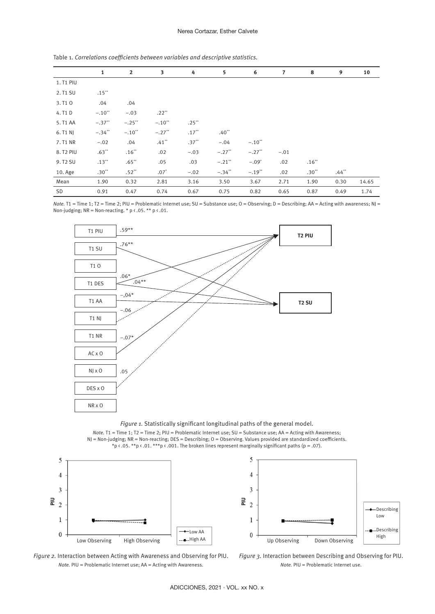#### Nerea Cortazar, Esther Calvete

|                       | $\mathbf{1}$         | $\overline{2}$       | 3                    | 4        | 5                    | 6        | $\overline{7}$ | 8       | 9       | 10    |
|-----------------------|----------------------|----------------------|----------------------|----------|----------------------|----------|----------------|---------|---------|-------|
| 1. T1 PIU             |                      |                      |                      |          |                      |          |                |         |         |       |
| 2. T1 SU              | $.15***$             |                      |                      |          |                      |          |                |         |         |       |
| 3. T1 0               | .04                  | .04                  |                      |          |                      |          |                |         |         |       |
| 4. T1 D               | $-.10$ <sup>**</sup> | $-.03$               | $.22**$              |          |                      |          |                |         |         |       |
| 5. T1 AA              | $-.37$ <sup>**</sup> | $-.25$ **            | $-.10$ <sup>**</sup> | $.25***$ |                      |          |                |         |         |       |
| 6. T1 N               | $-.34$ <sup>**</sup> | $-.10$ <sup>**</sup> | $-.27$ <sup>**</sup> | $.17***$ | $.40**$              |          |                |         |         |       |
| 7. T1 NR              | $-.02$               | .04                  | $.41**$              | $.37**$  | $-.04$               | $-.10**$ |                |         |         |       |
| 8. T <sub>2</sub> PIU | $.63**$              | $.16**$              | .02                  | $-.03$   | $-.27$ <sup>**</sup> | $-.27**$ | $-.01$         |         |         |       |
| 9. T <sub>2</sub> SU  | $.13**$              | $.65**$              | .05                  | .03      | $-.21$ **            | $-.09*$  | .02            | $.16**$ |         |       |
| 10. Age               | $.30**$              | $.52**$              | $.07^*$              | $-.02$   | $-.34**$             | $-.19**$ | .02            | $.30**$ | $.44**$ |       |
| Mean                  | 1.90                 | 0.32                 | 2.81                 | 3.16     | 3.50                 | 3.67     | 2.71           | 1.90    | 0.30    | 14.65 |
| SD                    | 0.91                 | 0.47                 | 0.74                 | 0.67     | 0.75                 | 0.82     | 0.65           | 0.87    | 0.49    | 1.74  |

Table 1. *Correlations coefficients between variables and descriptive statistics.*

*Note*. T1 = Time 1; T2 = Time 2; PIU = Problematic Internet use; SU = Substance use; O = Observing; D = Describing; AA = Acting with awareness; NJ = Non-judging;  $NR = Non-reacting. * p \cdot .05. * p \cdot .01.$ 



*Figure 1.* Statistically significant longitudinal paths of the general model.

*Note.* T1 = Time 1; T2 = Time 2; PIU = Problematic Internet use; SU = Substance use; AA = Acting with Awareness; NJ = Non-judging; NR = Non-reacting; DES = Describing; O = Observing. Values provided are standardized coefficients. \*p < .05. \*\*p < .01. \*\*\*p < .001. The broken lines represent marginally significant paths (p = .07).





*Figure 2.* Interaction between Acting with Awareness and Observing for PIU. *Note.* PIU = Problematic Internet use; AA = Acting with Awareness.

*Figure 3.* Interaction between Describing and Observing for PIU. *Note.* PIU = Problematic Internet use.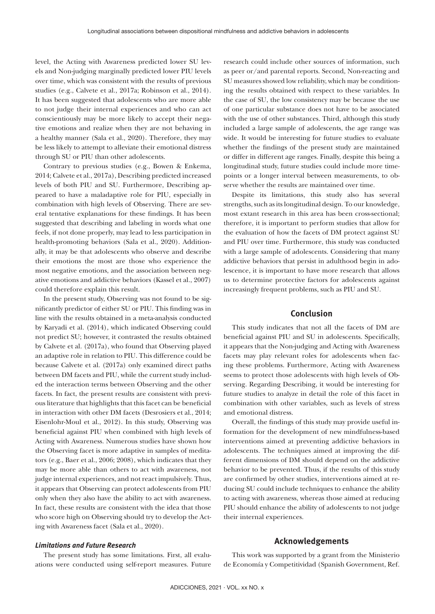level, the Acting with Awareness predicted lower SU levels and Non-judging marginally predicted lower PIU levels over time, which was consistent with the results of previous studies (e.g., Calvete et al., 2017a; Robinson et al., 2014). It has been suggested that adolescents who are more able to not judge their internal experiences and who can act conscientiously may be more likely to accept their negative emotions and realize when they are not behaving in a healthy manner (Sala et al., 2020). Therefore, they may be less likely to attempt to alleviate their emotional distress through SU or PIU than other adolescents.

Contrary to previous studies (e.g., Bowen & Enkema, 2014; Calvete et al., 2017a), Describing predicted increased levels of both PIU and SU. Furthermore, Describing appeared to have a maladaptive role for PIU, especially in combination with high levels of Observing. There are several tentative explanations for these findings. It has been suggested that describing and labeling in words what one feels, if not done properly, may lead to less participation in health-promoting behaviors (Sala et al., 2020). Additionally, it may be that adolescents who observe and describe their emotions the most are those who experience the most negative emotions, and the association between negative emotions and addictive behaviors (Kassel et al., 2007) could therefore explain this result.

In the present study, Observing was not found to be significantly predictor of either SU or PIU. This finding was in line with the results obtained in a meta-analysis conducted by Karyadi et al. (2014), which indicated Observing could not predict SU; however, it contrasted the results obtained by Calvete et al. (2017a), who found that Observing played an adaptive role in relation to PIU. This difference could be because Calvete et al. (2017a) only examined direct paths between DM facets and PIU, while the current study included the interaction terms between Observing and the other facets. In fact, the present results are consistent with previous literature that highlights that this facet can be beneficial in interaction with other DM facets (Desrosiers et al., 2014; Eisenlohr-Moul et al., 2012). In this study, Observing was beneficial against PIU when combined with high levels of Acting with Awareness. Numerous studies have shown how the Observing facet is more adaptive in samples of meditators (e.g., Baer et al., 2006; 2008), which indicates that they may be more able than others to act with awareness, not judge internal experiences, and not react impulsively. Thus, it appears that Observing can protect adolescents from PIU only when they also have the ability to act with awareness. In fact, these results are consistent with the idea that those who score high on Observing should try to develop the Acting with Awareness facet (Sala et al., 2020).

## *Limitations and Future Research*

The present study has some limitations. First, all evaluations were conducted using self-report measures. Future research could include other sources of information, such as peer or/and parental reports. Second, Non-reacting and SU measures showed low reliability, which may be conditioning the results obtained with respect to these variables. In the case of SU, the low consistency may be because the use of one particular substance does not have to be associated with the use of other substances. Third, although this study included a large sample of adolescents, the age range was wide. It would be interesting for future studies to evaluate whether the findings of the present study are maintained or differ in different age ranges. Finally, despite this being a longitudinal study, future studies could include more timepoints or a longer interval between measurements, to observe whether the results are maintained over time.

Despite its limitations, this study also has several strengths, such as its longitudinal design. To our knowledge, most extant research in this area has been cross-sectional; therefore, it is important to perform studies that allow for the evaluation of how the facets of DM protect against SU and PIU over time. Furthermore, this study was conducted with a large sample of adolescents. Considering that many addictive behaviors that persist in adulthood begin in adolescence, it is important to have more research that allows us to determine protective factors for adolescents against increasingly frequent problems, such as PIU and SU.

### **Conclusion**

This study indicates that not all the facets of DM are beneficial against PIU and SU in adolescents. Specifically, it appears that the Non-judging and Acting with Awareness facets may play relevant roles for adolescents when facing these problems. Furthermore, Acting with Awareness seems to protect those adolescents with high levels of Observing. Regarding Describing, it would be interesting for future studies to analyze in detail the role of this facet in combination with other variables, such as levels of stress and emotional distress.

Overall, the findings of this study may provide useful information for the development of new mindfulness-based interventions aimed at preventing addictive behaviors in adolescents. The techniques aimed at improving the different dimensions of DM should depend on the addictive behavior to be prevented. Thus, if the results of this study are confirmed by other studies, interventions aimed at reducing SU could include techniques to enhance the ability to acting with awareness, whereas those aimed at reducing PIU should enhance the ability of adolescents to not judge their internal experiences.

# **Acknowledgements**

This work was supported by a grant from the Ministerio de Economía y Competitividad (Spanish Government, Ref.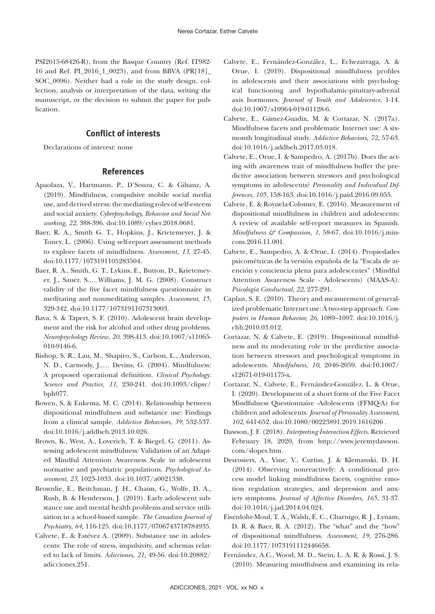PSI2015-68426-R), from the Basque Country (Ref. IT982- 16 and Ref. PI\_2016\_1\_0023), and from BBVA (PR[18]\_ SOC\_0096). Neither had a role in the study design, collection, analysis or interpretation of the data, writing the manuscript, or the decision to submit the paper for publication.

# **Conflict of interests**

Declarations of interest: none

# **References**

- Apaolaza, V., Hartmann, P., D'Souza, C. & Gilsanz, A. (2019). Mindfulness, compulsive mobile social media use, and derived stress: the mediating roles of self-esteem and social anxiety. *Cyberpsychology, Behavior and Social Networking*, *22*, 388-396. doi:10.1089/cyber.2018.0681.
- Baer, R. A., Smith G. T., Hopkins, J., Krietemeyer, J. & Toney, L. (2006). Using self-report assessment methods to explore facets of mindfulness. *Assessment, 13*, 27-45. doi:10.1177/1073191105283504.
- Baer, R. A., Smith, G. T., Lykins, E., Button, D., Krietemeyer, J., Sauer, S.,…Williams, J. M. G. (2008). Construct validity of the five facet mindfulness questionnaire in meditating and nonmeditating samples. *Assessment*, *15*, 329-342. doi:10.1177/1073191107313003.
- Bava, S. & Tapert, S. F. (2010). Adolescent brain development and the risk for alcohol and other drug problems. *Neuropsychology Review*, *20*, 398-413. doi:10.1007/s11065- 010-9146-6.
- Bishop, S. R., Lau, M., Shapiro, S., Carlson, L., Anderson, N. D., Carmody, J.,… Devins, G. (2004). Mindfulness: A proposed operational definition. *Clinical Psychology: Science and Practice, 11*, 230-241. doi:10.1093/clipsy/ bph077.
- Bowen, S. & Enkema, M. C. (2014). Relationship between dispositional mindfulness and substance use: Findings from a clinical sample. *Addictive Behaviors*, *39*, 532-537. doi:10.1016/j.addbeh.2013.10.026.
- Brown, K., West, A., Loverich, T. & Biegel, G. (2011). Assessing adolescent mindfulness: Validation of an Adapted Mindful Attention Awareness Scale in adolescent normative and psychiatric populations. *Psychological Assessment, 23*, 1023-1033. doi:10.1037/a0021338.
- Brownlie, E., Beitchman, J. H., Chaim, G., Wolfe, D. A., Rush, B. & Henderson, J. (2019). Early adolescent substance use and mental health problems and service utilisation in a school-based sample. *The Canadian Journal of Psychiatry*, *64*, 116-125. doi:10.1177/0706743718784935.
- Calvete, E. & Estévez A. (2009). Substance use in adolescents: The role of stress, impulsivity, and schemas related to lack of limits. *Adicciones, 21,* 49-56. doi:10.20882/ adicciones.251.
- Calvete, E., Fernández-González, L., Echezarraga, A. & Orue, I. (2019). Dispositional mindfulness profiles in adolescents and their associations with psychological functioning and hypothalamic-pituitary-adrenal axis hormones. *Journal of Youth and Adolescence*, 1-14. doi:10.1007/s10964-019-01128-6.
- Calvete, E., Gámez-Guadix, M. & Cortazar, N. (2017a). Mindfulness facets and problematic Internet use: A sixmonth longitudinal study. *Addictive Behaviors*, *72*, 57-63. doi:10.1016/j.addbeh.2017.03.018.
- Calvete, E., Orue, I. & Sampedro, A. (2017b). Does the acting with awareness trait of mindfulness buffer the predictive association between stressors and psychological symptoms in adolescents? *Personality and Individual Differences*, *105*, 158-163. doi:10.1016/j.paid.2016.09.055.
- Calvete, E. & Royuela-Colomer, E. (2016). Measurement of dispositional mindfulness in children and adolescents: A review of available self-report measures in Spanish. *Mindfulness & Compassion, 1, 58-67. doi:10.1016/j.min*com.2016.11.001.
- Calvete, E., Sampedro, A. & Orue, I. (2014). Propiedades psicométricas de la versión española de la "Escala de atención y conciencia plena para adolescentes" (Mindful Attention Awareness Scale - Adolescents) (MAAS-A). *Psicología Conductual*, *22*, 277-291.
- Caplan, S. E. (2010). Theory and measurement of generalized problematic Internet use: A two-step approach. *Computers in Human Behavior, 26,* 1089–1097. doi:10.1016/j. chb.2010.03.012.
- Cortazar, N. & Calvete, E. (2019). Dispositional mindfulness and its moderating role in the predictive association between stressors and psychological symptoms in adolescents. *Mindfulness*, *10*, 2046-2059. doi:10.1007/ s12671-019-01175-x.
- Cortazar, N., Calvete, E., Fernández-González, L. & Orue, I. (2020). Development of a short form of the Five Facet Mindfulness Questionnaire -Adolescents (FFMQ-A) for children and adolescents. *Journal of Personality Assessment*, *102*, 641-652. doi:10.1080/00223891.2019.1616206 .
- Dawson, J. F. (2018). *Interpreting Interaction Effects*. Retrieved February 18, 2020, from http://www.jeremydawson. com/slopes.htm.
- Desrosiers, A., Vine, V., Curtiss, J. & Klemanski, D. H. (2014). Observing nonreactively: A conditional process model linking mindfulness facets, cognitive emotion regulation strategies, and depression and anxiety symptoms. *Journal of Affective Disorders, 165*, 31-37. doi:10.1016/j.jad.2014.04.024.
- Eisenlohr-Moul, T. A., Walsh, E. C., Charnigo, R. J., Lynam, D. R. & Baer, R. A. (2012). The "what" and the "how" of dispositional mindfulness. *Assessment, 19*, 276-286. doi:10.1177/1073191112446658.
- Fernández, A.C., Wood, M. D., Stein, L. A. R. & Rossi, J. S. (2010). Measuring mindfulness and examining its rela-